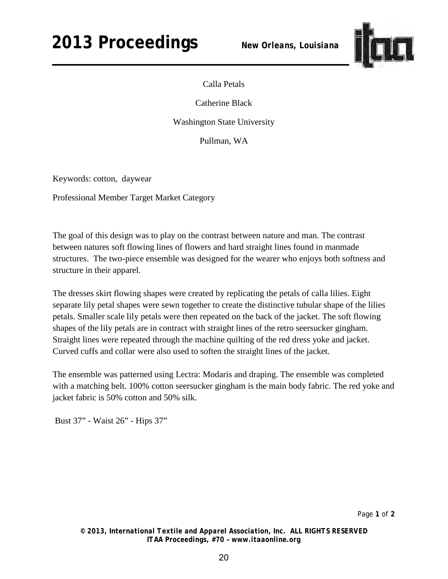

Calla Petals

Catherine Black

Washington State University

Pullman, WA

Keywords: cotton, daywear

Professional Member Target Market Category

The goal of this design was to play on the contrast between nature and man. The contrast between natures soft flowing lines of flowers and hard straight lines found in manmade structures. The two-piece ensemble was designed for the wearer who enjoys both softness and structure in their apparel.

The dresses skirt flowing shapes were created by replicating the petals of calla lilies. Eight separate lily petal shapes were sewn together to create the distinctive tubular shape of the lilies petals. Smaller scale lily petals were then repeated on the back of the jacket. The soft flowing shapes of the lily petals are in contract with straight lines of the retro seersucker gingham. Straight lines were repeated through the machine quilting of the red dress yoke and jacket. Curved cuffs and collar were also used to soften the straight lines of the jacket.

The ensemble was patterned using Lectra: Modaris and draping. The ensemble was completed with a matching belt. 100% cotton seersucker gingham is the main body fabric. The red yoke and jacket fabric is 50% cotton and 50% silk.

Bust 37" - Waist 26" - Hips 37"